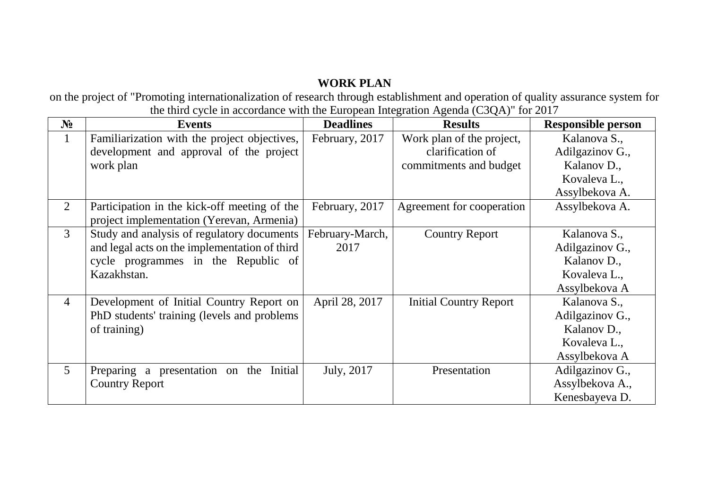## **WORK PLAN**

on the project of "Promoting internationalization of research through establishment and operation of quality assurance system for the third cycle in accordance with the European Integration Agenda (C3QA)" for 2017

| $N_2$          | <b>Events</b>                                 | <b>Deadlines</b> | <b>Results</b>                | <b>Responsible person</b> |
|----------------|-----------------------------------------------|------------------|-------------------------------|---------------------------|
| $\mathbf{1}$   | Familiarization with the project objectives,  | February, 2017   | Work plan of the project,     | Kalanova S.,              |
|                | development and approval of the project       |                  | clarification of              | Adilgazinov G.,           |
|                | work plan                                     |                  | commitments and budget        | Kalanov D.,               |
|                |                                               |                  |                               | Kovaleva L.,              |
|                |                                               |                  |                               | Assylbekova A.            |
| 2              | Participation in the kick-off meeting of the  | February, 2017   | Agreement for cooperation     | Assylbekova A.            |
|                | project implementation (Yerevan, Armenia)     |                  |                               |                           |
| 3              | Study and analysis of regulatory documents    | February-March,  | <b>Country Report</b>         | Kalanova S.,              |
|                | and legal acts on the implementation of third | 2017             |                               | Adilgazinov G.,           |
|                | cycle programmes in the Republic of           |                  |                               | Kalanov D.,               |
|                | Kazakhstan.                                   |                  |                               | Kovaleva L.,              |
|                |                                               |                  |                               | Assylbekova A             |
| $\overline{4}$ | Development of Initial Country Report on      | April 28, 2017   | <b>Initial Country Report</b> | Kalanova S.,              |
|                | PhD students' training (levels and problems)  |                  |                               | Adilgazinov G.,           |
|                | of training)                                  |                  |                               | Kalanov D.,               |
|                |                                               |                  |                               | Kovaleva L.,              |
|                |                                               |                  |                               | Assylbekova A             |
| $\overline{5}$ | Preparing a presentation on the Initial       | July, 2017       | Presentation                  | Adilgazinov G.,           |
|                | <b>Country Report</b>                         |                  |                               | Assylbekova A.,           |
|                |                                               |                  |                               | Kenesbayeva D.            |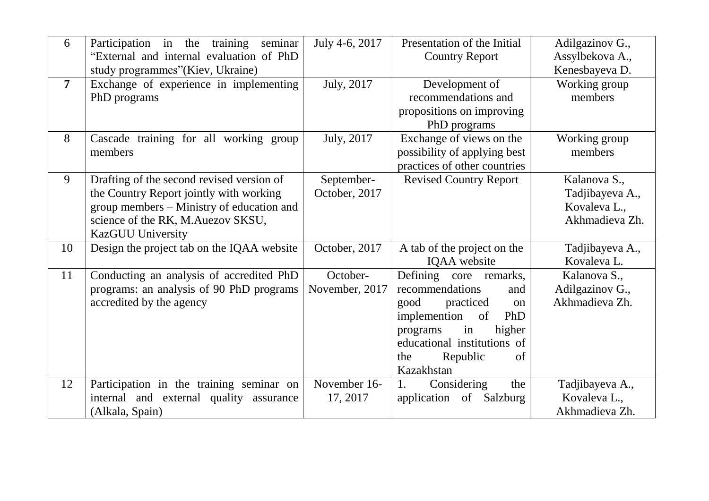| 6              | training seminar<br>Participation in the<br>"External and internal evaluation of PhD                                                                                                               | July 4-6, 2017              | Presentation of the Initial<br><b>Country Report</b>                                                                                                                                                       | Adilgazinov G.,<br>Assylbekova A.,                                |
|----------------|----------------------------------------------------------------------------------------------------------------------------------------------------------------------------------------------------|-----------------------------|------------------------------------------------------------------------------------------------------------------------------------------------------------------------------------------------------------|-------------------------------------------------------------------|
| $\overline{7}$ | study programmes"(Kiev, Ukraine)<br>Exchange of experience in implementing<br>PhD programs                                                                                                         | July, 2017                  | Development of<br>recommendations and<br>propositions on improving<br>PhD programs                                                                                                                         | Kenesbayeva D.<br>Working group<br>members                        |
| 8              | Cascade training for all working group<br>members                                                                                                                                                  | July, 2017                  | Exchange of views on the<br>possibility of applying best<br>practices of other countries                                                                                                                   | Working group<br>members                                          |
| 9              | Drafting of the second revised version of<br>the Country Report jointly with working<br>group members – Ministry of education and<br>science of the RK, M.Auezov SKSU,<br><b>KazGUU University</b> | September-<br>October, 2017 | <b>Revised Country Report</b>                                                                                                                                                                              | Kalanova S.,<br>Tadjibayeva A.,<br>Kovaleva L.,<br>Akhmadieva Zh. |
| 10             | Design the project tab on the IQAA website                                                                                                                                                         | October, 2017               | A tab of the project on the<br>IQAA website                                                                                                                                                                | Tadjibayeva A.,<br>Kovaleva L.                                    |
| 11             | Conducting an analysis of accredited PhD<br>programs: an analysis of 90 PhD programs<br>accredited by the agency                                                                                   | October-<br>November, 2017  | Defining core remarks,<br>recommendations<br>and<br>good<br>practiced<br>on<br>implemention<br>PhD<br>of<br>higher<br>programs<br>in<br>educational institutions of<br>Republic<br>the<br>of<br>Kazakhstan | Kalanova S.,<br>Adilgazinov G.,<br>Akhmadieva Zh.                 |
| 12             | Participation in the training seminar on<br>internal and external quality assurance<br>(Alkala, Spain)                                                                                             | November 16-<br>17, 2017    | the<br>1.<br>Considering<br>application of Salzburg                                                                                                                                                        | Tadjibayeva A.,<br>Kovaleva L.,<br>Akhmadieva Zh.                 |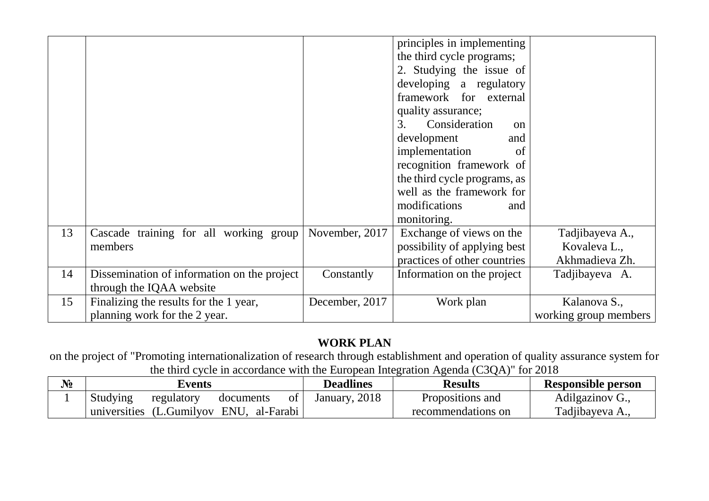|    |                                             |                | principles in implementing      |                       |
|----|---------------------------------------------|----------------|---------------------------------|-----------------------|
|    |                                             |                | the third cycle programs;       |                       |
|    |                                             |                | 2. Studying the issue of        |                       |
|    |                                             |                | developing a regulatory         |                       |
|    |                                             |                | framework for external          |                       |
|    |                                             |                | quality assurance;              |                       |
|    |                                             |                | Consideration<br>3.<br>$\alpha$ |                       |
|    |                                             |                | development<br>and              |                       |
|    |                                             |                | implementation<br>of            |                       |
|    |                                             |                | recognition framework of        |                       |
|    |                                             |                | the third cycle programs, as    |                       |
|    |                                             |                | well as the framework for       |                       |
|    |                                             |                | modifications<br>and            |                       |
|    |                                             |                | monitoring.                     |                       |
| 13 | Cascade training for all working group      | November, 2017 | Exchange of views on the        | Tadjibayeva A.,       |
|    | members                                     |                | possibility of applying best    | Kovaleva L.,          |
|    |                                             |                | practices of other countries    | Akhmadieva Zh.        |
| 14 | Dissemination of information on the project | Constantly     | Information on the project      | Tadjibayeva A.        |
|    | through the IQAA website                    |                |                                 |                       |
| 15 | Finalizing the results for the 1 year,      | December, 2017 | Work plan                       | Kalanova S.,          |
|    | planning work for the 2 year.               |                |                                 | working group members |

## **WORK PLAN**

on the project of "Promoting internationalization of research through establishment and operation of quality assurance system for the third cycle in accordance with the European Integration Agenda (C3QA)" for 2018

| $N_2$ |                 | Events                     |           |    | <b>Deadlines</b> | <b>Results</b>     | <b>Responsible person</b> |
|-------|-----------------|----------------------------|-----------|----|------------------|--------------------|---------------------------|
|       | <b>Studying</b> | regulatory                 | documents | ΟÌ | January, 2018    | Propositions and   | Adilgazinov G.,           |
|       | universities    | (L.Gumilyov ENU, al-Farabi |           |    |                  | recommendations on | Tadjibayeva A.,           |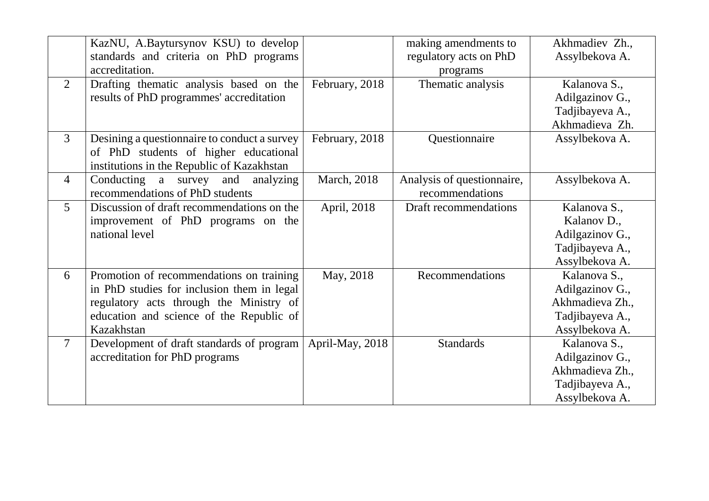|                | KazNU, A.Baytursynov KSU) to develop<br>standards and criteria on PhD programs<br>accreditation.                                                                                            |                     | making amendments to<br>regulatory acts on PhD<br>programs | Akhmadiev Zh.,<br>Assylbekova A.                                                        |
|----------------|---------------------------------------------------------------------------------------------------------------------------------------------------------------------------------------------|---------------------|------------------------------------------------------------|-----------------------------------------------------------------------------------------|
| 2              | Drafting thematic analysis based on the<br>results of PhD programmes' accreditation                                                                                                         | February, 2018      | Thematic analysis                                          | Kalanova S.,<br>Adilgazinov G.,<br>Tadjibayeva A.,<br>Akhmadieva Zh.                    |
| 3              | Desining a question aire to conduct a survey<br>of PhD students of higher educational<br>institutions in the Republic of Kazakhstan                                                         | February, 2018      | Questionnaire                                              | Assylbekova A.                                                                          |
| $\overline{4}$ | Conducting a survey and<br>analyzing<br>recommendations of PhD students                                                                                                                     | <b>March</b> , 2018 | Analysis of questionnaire,<br>recommendations              | Assylbekova A.                                                                          |
| 5              | Discussion of draft recommendations on the<br>improvement of PhD programs on the<br>national level                                                                                          | April, 2018         | Draft recommendations                                      | Kalanova S.,<br>Kalanov D.,<br>Adilgazinov G.,<br>Tadjibayeva A.,<br>Assylbekova A.     |
| 6              | Promotion of recommendations on training<br>in PhD studies for inclusion them in legal<br>regulatory acts through the Ministry of<br>education and science of the Republic of<br>Kazakhstan | May, 2018           | Recommendations                                            | Kalanova S.,<br>Adilgazinov G.,<br>Akhmadieva Zh.,<br>Tadjibayeva A.,<br>Assylbekova A. |
| $\tau$         | Development of draft standards of program<br>accreditation for PhD programs                                                                                                                 | April-May, 2018     | <b>Standards</b>                                           | Kalanova S.,<br>Adilgazinov G.,<br>Akhmadieva Zh.,<br>Tadjibayeva A.,<br>Assylbekova A. |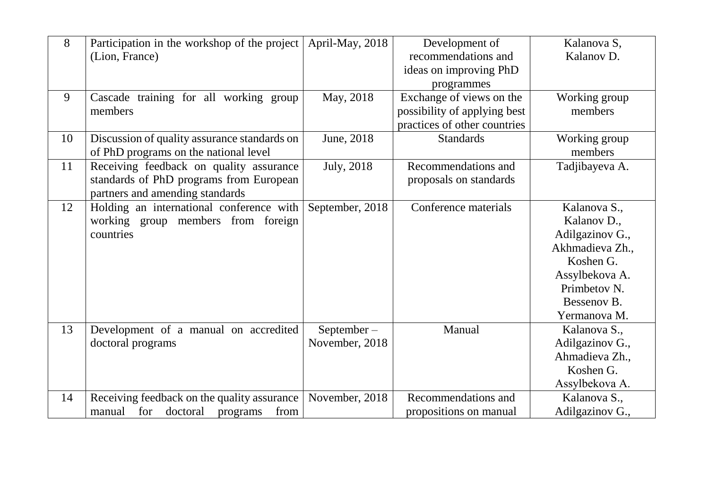| 8  | Participation in the workshop of the project  | April-May, 2018 | Development of               | Kalanova S,             |
|----|-----------------------------------------------|-----------------|------------------------------|-------------------------|
|    | (Lion, France)                                |                 | recommendations and          | Kalanov D.              |
|    |                                               |                 | ideas on improving PhD       |                         |
|    |                                               |                 | programmes                   |                         |
| 9  | Cascade training for all working group        | May, 2018       | Exchange of views on the     | Working group           |
|    | members                                       |                 | possibility of applying best | members                 |
|    |                                               |                 | practices of other countries |                         |
| 10 | Discussion of quality assurance standards on  | June, 2018      | <b>Standards</b>             | Working group           |
|    | of PhD programs on the national level         |                 |                              | members                 |
| 11 | Receiving feedback on quality assurance       | July, 2018      | Recommendations and          | Tadjibayeva A.          |
|    | standards of PhD programs from European       |                 | proposals on standards       |                         |
|    | partners and amending standards               |                 |                              |                         |
| 12 | Holding an international conference with      | September, 2018 | Conference materials         | Kalanova S.,            |
|    | working group members from foreign            |                 |                              | Kalanov D.,             |
|    | countries                                     |                 |                              | Adilgazinov G.,         |
|    |                                               |                 |                              | Akhmadieva Zh.,         |
|    |                                               |                 |                              | Koshen G.               |
|    |                                               |                 |                              | Assylbekova A.          |
|    |                                               |                 |                              | Primbetov <sub>N.</sub> |
|    |                                               |                 |                              | Bessenov B.             |
|    |                                               |                 |                              | Yermanova M.            |
| 13 | Development of a manual on accredited         | $September-$    | Manual                       | Kalanova S.,            |
|    | doctoral programs                             | November, 2018  |                              | Adilgazinov G.,         |
|    |                                               |                 |                              | Ahmadieva Zh.,          |
|    |                                               |                 |                              | Koshen G.               |
|    |                                               |                 |                              | Assylbekova A.          |
| 14 | Receiving feedback on the quality assurance   | November, 2018  | Recommendations and          | Kalanova S.,            |
|    | for<br>doctoral<br>from<br>manual<br>programs |                 | propositions on manual       | Adilgazinov G.,         |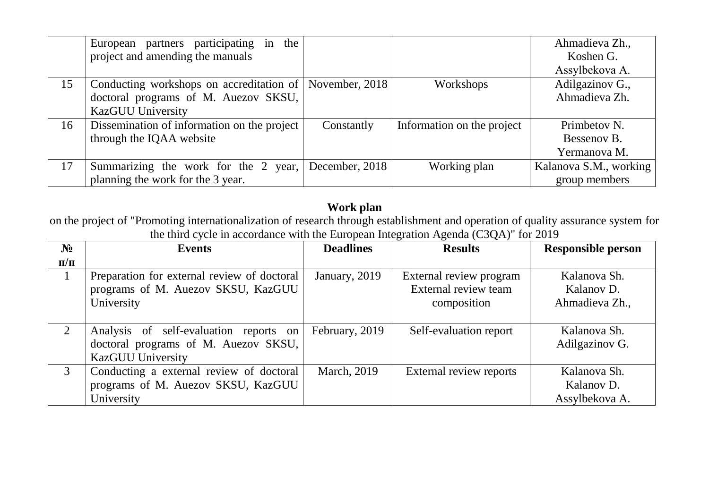|    | European partners participating<br>the<br>in |                |                            | Ahmadieva Zh.,         |
|----|----------------------------------------------|----------------|----------------------------|------------------------|
|    | project and amending the manuals             |                |                            | Koshen G.              |
|    |                                              |                |                            | Assylbekova A.         |
| 15 | Conducting workshops on accreditation of     | November, 2018 | Workshops                  | Adilgazinov G.,        |
|    | doctoral programs of M. Auezov SKSU,         |                |                            | Ahmadieva Zh.          |
|    | <b>KazGUU University</b>                     |                |                            |                        |
| 16 | Dissemination of information on the project  | Constantly     | Information on the project | Primbetov N.           |
|    | through the IQAA website                     |                |                            | Bessenov B.            |
|    |                                              |                |                            | Yermanova M.           |
| 17 | Summarizing the work for the 2 year,         | December, 2018 | Working plan               | Kalanova S.M., working |
|    | planning the work for the 3 year.            |                |                            | group members          |

## **Work plan**

on the project of "Promoting internationalization of research through establishment and operation of quality assurance system for the third cycle in accordance with the European Integration Agenda (C3QA)" for 2019

| N <sub>2</sub> | <b>Events</b>                               | <b>Deadlines</b> | <b>Results</b>          | <b>Responsible person</b> |
|----------------|---------------------------------------------|------------------|-------------------------|---------------------------|
| $\Pi/\Pi$      |                                             |                  |                         |                           |
|                | Preparation for external review of doctoral | January, 2019    | External review program | Kalanova Sh.              |
|                | programs of M. Auezov SKSU, KazGUU          |                  | External review team    | Kalanov D.                |
|                | University                                  |                  | composition             | Ahmadieva Zh.,            |
|                |                                             |                  |                         |                           |
| 2              | Analysis of self-evaluation reports on      | February, 2019   | Self-evaluation report  | Kalanova Sh.              |
|                | doctoral programs of M. Auezov SKSU,        |                  |                         | Adilgazinov G.            |
|                | <b>KazGUU University</b>                    |                  |                         |                           |
| 3              | Conducting a external review of doctoral    | March, 2019      | External review reports | Kalanova Sh.              |
|                | programs of M. Auezov SKSU, KazGUU          |                  |                         | Kalanov D.                |
|                | University                                  |                  |                         | Assylbekova A.            |